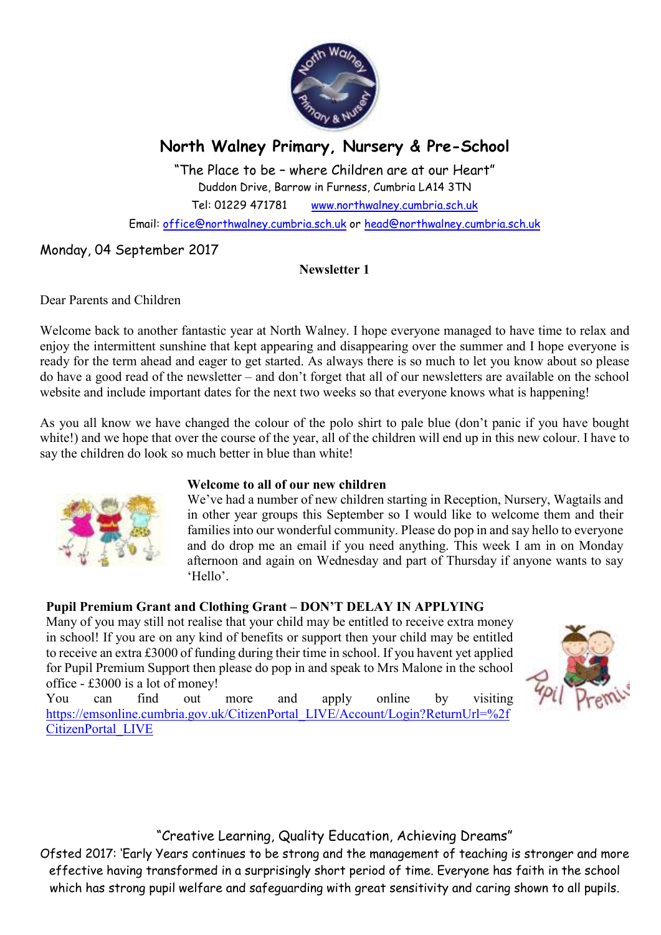

# **North Walney Primary, Nursery & Pre-School**

"The Place to be – where Children are at our Heart" Duddon Drive, Barrow in Furness, Cumbria LA14 3TN Tel: 01229 471781 www.northwalney.cumbria.sch.uk Email: office@northwalney.cumbria.sch.uk or head@northwalney.cumbria.sch.uk

# Monday, 04 September 2017

## **Newsletter 1**

Dear Parents and Children

Welcome back to another fantastic year at North Walney. I hope everyone managed to have time to relax and enjoy the intermittent sunshine that kept appearing and disappearing over the summer and I hope everyone is ready for the term ahead and eager to get started. As always there is so much to let you know about so please do have a good read of the newsletter – and don't forget that all of our newsletters are available on the school website and include important dates for the next two weeks so that everyone knows what is happening!

As you all know we have changed the colour of the polo shirt to pale blue (don't panic if you have bought white!) and we hope that over the course of the year, all of the children will end up in this new colour. I have to say the children do look so much better in blue than white!



## **Welcome to all of our new children**

We've had a number of new children starting in Reception, Nursery, Wagtails and in other year groups this September so I would like to welcome them and their families into our wonderful community. Please do pop in and say hello to everyone and do drop me an email if you need anything. This week I am in on Monday afternoon and again on Wednesday and part of Thursday if anyone wants to say 'Hello'.

# **Pupil Premium Grant and Clothing Grant – DON'T DELAY IN APPLYING**

Many of you may still not realise that your child may be entitled to receive extra money in school! If you are on any kind of benefits or support then your child may be entitled to receive an extra £3000 of funding during their time in school. If you havent yet applied for Pupil Premium Support then please do pop in and speak to Mrs Malone in the school office - £3000 is a lot of money!



You can find out more and apply online by visiting https://emsonline.cumbria.gov.uk/CitizenPortal\_LIVE/Account/Login?ReturnUrl=%2f CitizenPortal\_LIVE

"Creative Learning, Quality Education, Achieving Dreams"

Ofsted 2017: 'Early Years continues to be strong and the management of teaching is stronger and more effective having transformed in a surprisingly short period of time. Everyone has faith in the school which has strong pupil welfare and safeguarding with great sensitivity and caring shown to all pupils.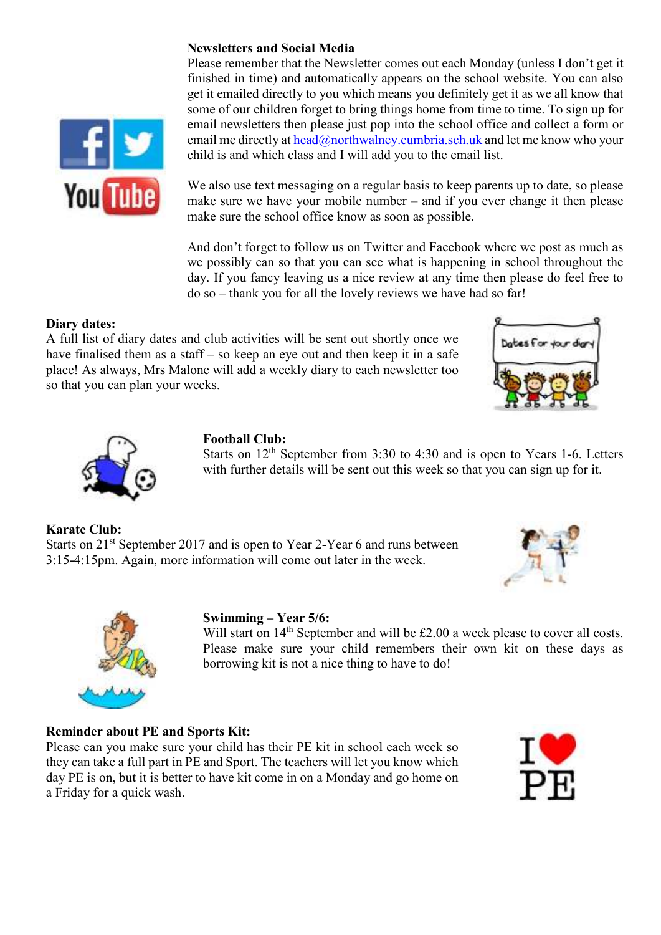#### **Newsletters and Social Media**



Please remember that the Newsletter comes out each Monday (unless I don't get it finished in time) and automatically appears on the school website. You can also get it emailed directly to you which means you definitely get it as we all know that some of our children forget to bring things home from time to time. To sign up for email newsletters then please just pop into the school office and collect a form or email me directly at  $head@northwalney.cumbria.sch.uk$  and let me know who your child is and which class and I will add you to the email list.

We also use text messaging on a regular basis to keep parents up to date, so please make sure we have your mobile number – and if you ever change it then please make sure the school office know as soon as possible.

And don't forget to follow us on Twitter and Facebook where we post as much as we possibly can so that you can see what is happening in school throughout the day. If you fancy leaving us a nice review at any time then please do feel free to do so – thank you for all the lovely reviews we have had so far!

#### **Diary dates:**

A full list of diary dates and club activities will be sent out shortly once we have finalised them as a staff – so keep an eye out and then keep it in a safe place! As always, Mrs Malone will add a weekly diary to each newsletter too so that you can plan your weeks.





#### **Football Club:**

Starts on  $12<sup>th</sup>$  September from 3:30 to 4:30 and is open to Years 1-6. Letters with further details will be sent out this week so that you can sign up for it.

**Karate Club:**  Starts on 21<sup>st</sup> September 2017 and is open to Year 2-Year 6 and runs between 3:15-4:15pm. Again, more information will come out later in the week.





#### **Swimming – Year 5/6:**

Will start on 14<sup>th</sup> September and will be £2.00 a week please to cover all costs. Please make sure your child remembers their own kit on these days as borrowing kit is not a nice thing to have to do!

#### **Reminder about PE and Sports Kit:**

Please can you make sure your child has their PE kit in school each week so they can take a full part in PE and Sport. The teachers will let you know which day PE is on, but it is better to have kit come in on a Monday and go home on a Friday for a quick wash.